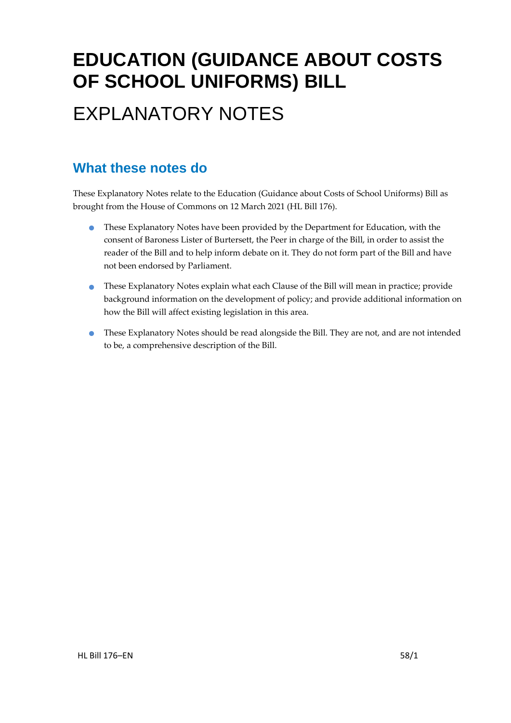# **EDUCATION (GUIDANCE ABOUT COSTS OF SCHOOL UNIFORMS) BILL**

# EXPLANATORY NOTES

### **What these notes do**

These Explanatory Notes relate to the Education (Guidance about Costs of School Uniforms) Bill as brought from the House of Commons on 12 March 2021 (HL Bill 176).

- These Explanatory Notes have been provided by the Department for Education, with the consent of Baroness Lister of Burtersett, the Peer in charge of the Bill, in order to assist the reader of the Bill and to help inform debate on it. They do not form part of the Bill and have not been endorsed by Parliament.
- These Explanatory Notes explain what each Clause of the Bill will mean in practice; provide background information on the development of policy; and provide additional information on how the Bill will affect existing legislation in this area.
- These Explanatory Notes should be read alongside the Bill. They are not, and are not intended to be, a comprehensive description of the Bill.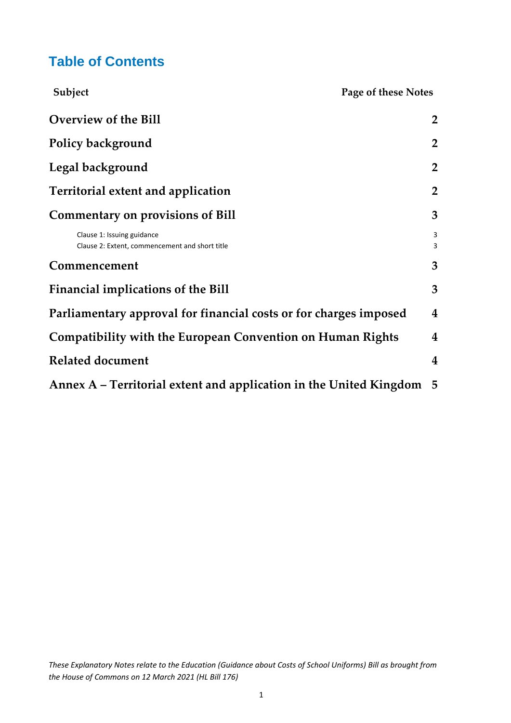### **Table of Contents**

| Subject                                                                      | Page of these Notes |  |
|------------------------------------------------------------------------------|---------------------|--|
| <b>Overview of the Bill</b>                                                  | $\overline{2}$      |  |
| Policy background                                                            | $\overline{2}$      |  |
| Legal background                                                             | $\overline{2}$      |  |
| Territorial extent and application                                           | $\overline{2}$      |  |
| <b>Commentary on provisions of Bill</b>                                      | 3                   |  |
| Clause 1: Issuing guidance<br>Clause 2: Extent, commencement and short title | 3<br>3              |  |
| Commencement                                                                 | 3                   |  |
| <b>Financial implications of the Bill</b>                                    | 3                   |  |
| Parliamentary approval for financial costs or for charges imposed            | $\boldsymbol{4}$    |  |
| <b>Compatibility with the European Convention on Human Rights</b>            | 4                   |  |
| <b>Related document</b>                                                      | 4                   |  |
| Annex A - Territorial extent and application in the United Kingdom           | $-5$                |  |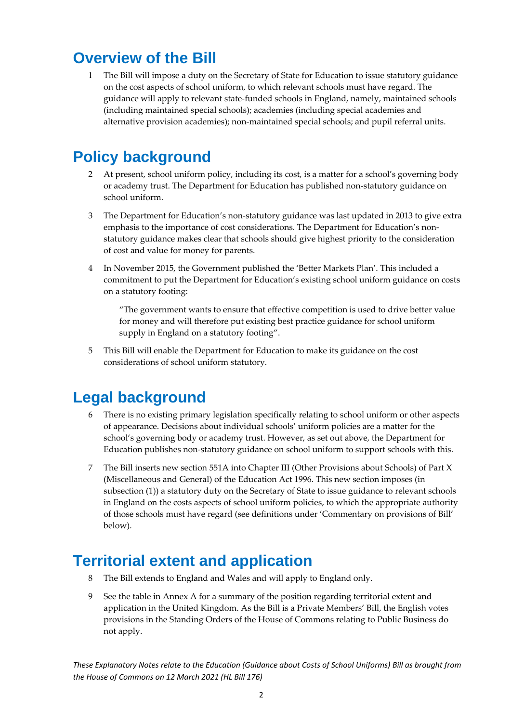## <span id="page-2-0"></span>**Overview of the Bill**

1 The Bill will impose a duty on the Secretary of State for Education to issue statutory guidance on the cost aspects of school uniform, to which relevant schools must have regard. The guidance will apply to relevant state-funded schools in England, namely, maintained schools (including maintained special schools); academies (including special academies and alternative provision academies); non-maintained special schools; and pupil referral units.

### <span id="page-2-1"></span>**Policy background**

- 2 At present, school uniform policy, including its cost, is a matter for a school's governing body or academy trust. The Department for Education has published non-statutory guidance on school uniform.
- 3 The Department for Education's non-statutory guidance was last updated in 2013 to give extra emphasis to the importance of cost considerations. The Department for Education's nonstatutory guidance makes clear that schools should give highest priority to the consideration of cost and value for money for parents.
- 4 In November 2015, the Government published the 'Better Markets Plan'. This included a commitment to put the Department for Education's existing school uniform guidance on costs on a statutory footing:

"The government wants to ensure that effective competition is used to drive better value for money and will therefore put existing best practice guidance for school uniform supply in England on a statutory footing".

5 This Bill will enable the Department for Education to make its guidance on the cost considerations of school uniform statutory.

### <span id="page-2-2"></span>**Legal background**

- There is no existing primary legislation specifically relating to school uniform or other aspects of appearance. Decisions about individual schools' uniform policies are a matter for the school's governing body or academy trust. However, as set out above, the Department for Education publishes non-statutory guidance on school uniform to support schools with this.
- 7 The Bill inserts new section 551A into Chapter III (Other Provisions about Schools) of Part X (Miscellaneous and General) of the Education Act 1996. This new section imposes (in subsection (1)) a statutory duty on the Secretary of State to issue guidance to relevant schools in England on the costs aspects of school uniform policies, to which the appropriate authority of those schools must have regard (see definitions under 'Commentary on provisions of Bill' below).

### <span id="page-2-3"></span>**Territorial extent and application**

- 8 The Bill extends to England and Wales and will apply to England only.
- 9 See the table in Annex A for a summary of the position regarding territorial extent and application in the United Kingdom. As the Bill is a Private Members' Bill, the English votes provisions in the Standing Orders of the House of Commons relating to Public Business do not apply.

*These Explanatory Notes relate to the Education (Guidance about Costs of School Uniforms) Bill as brought from the House of Commons on 12 March 2021 (HL Bill 176)*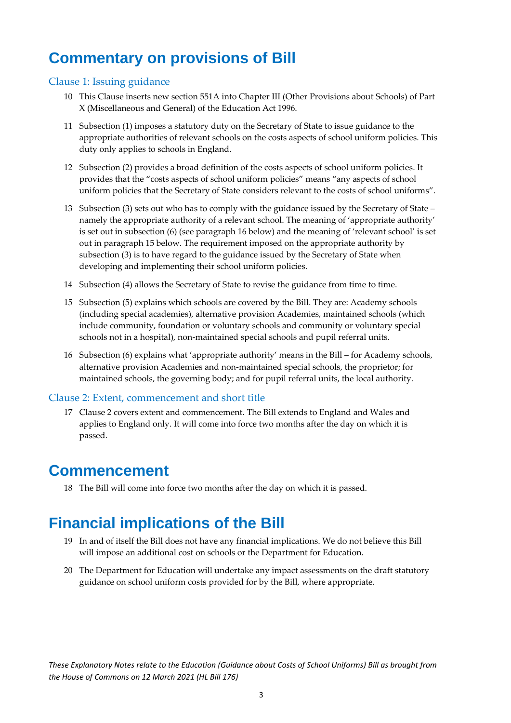## <span id="page-3-0"></span>**Commentary on provisions of Bill**

#### <span id="page-3-1"></span>Clause 1: Issuing guidance

- 10 This Clause inserts new section 551A into Chapter III (Other Provisions about Schools) of Part X (Miscellaneous and General) of the Education Act 1996.
- 11 Subsection (1) imposes a statutory duty on the Secretary of State to issue guidance to the appropriate authorities of relevant schools on the costs aspects of school uniform policies. This duty only applies to schools in England.
- 12 Subsection (2) provides a broad definition of the costs aspects of school uniform policies. It provides that the "costs aspects of school uniform policies" means "any aspects of school uniform policies that the Secretary of State considers relevant to the costs of school uniforms".
- 13 Subsection (3) sets out who has to comply with the guidance issued by the Secretary of State namely the appropriate authority of a relevant school. The meaning of 'appropriate authority' is set out in subsection (6) (see paragraph 16 below) and the meaning of 'relevant school' is set out in paragraph 15 below. The requirement imposed on the appropriate authority by subsection (3) is to have regard to the guidance issued by the Secretary of State when developing and implementing their school uniform policies.
- 14 Subsection (4) allows the Secretary of State to revise the guidance from time to time.
- 15 Subsection (5) explains which schools are covered by the Bill. They are: Academy schools (including special academies), alternative provision Academies, maintained schools (which include community, foundation or voluntary schools and community or voluntary special schools not in a hospital), non-maintained special schools and pupil referral units.
- 16 Subsection (6) explains what 'appropriate authority' means in the Bill for Academy schools, alternative provision Academies and non-maintained special schools, the proprietor; for maintained schools, the governing body; and for pupil referral units, the local authority.

#### <span id="page-3-2"></span>Clause 2: Extent, commencement and short title

17 Clause 2 covers extent and commencement. The Bill extends to England and Wales and applies to England only. It will come into force two months after the day on which it is passed.

### <span id="page-3-3"></span>**Commencement**

18 The Bill will come into force two months after the day on which it is passed.

## <span id="page-3-4"></span>**Financial implications of the Bill**

- 19 In and of itself the Bill does not have any financial implications. We do not believe this Bill will impose an additional cost on schools or the Department for Education.
- 20 The Department for Education will undertake any impact assessments on the draft statutory guidance on school uniform costs provided for by the Bill, where appropriate.

*These Explanatory Notes relate to the Education (Guidance about Costs of School Uniforms) Bill as brought from the House of Commons on 12 March 2021 (HL Bill 176)*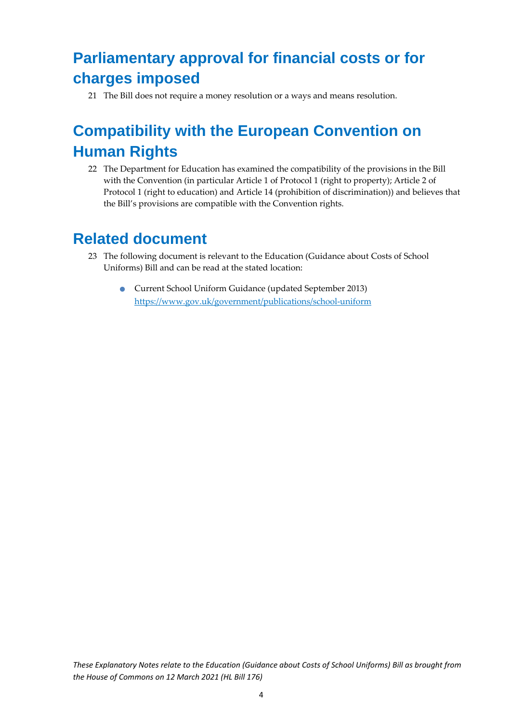# <span id="page-4-0"></span>**Parliamentary approval for financial costs or for charges imposed**

21 The Bill does not require a money resolution or a ways and means resolution.

## <span id="page-4-1"></span>**Compatibility with the European Convention on Human Rights**

22 The Department for Education has examined the compatibility of the provisions in the Bill with the Convention (in particular Article 1 of Protocol 1 (right to property); Article 2 of Protocol 1 (right to education) and Article 14 (prohibition of discrimination)) and believes that the Bill's provisions are compatible with the Convention rights.

### <span id="page-4-2"></span>**Related document**

- 23 The following document is relevant to the Education (Guidance about Costs of School Uniforms) Bill and can be read at the stated location:
	- Current School Uniform Guidance (updated September 2013) <https://www.gov.uk/government/publications/school-uniform>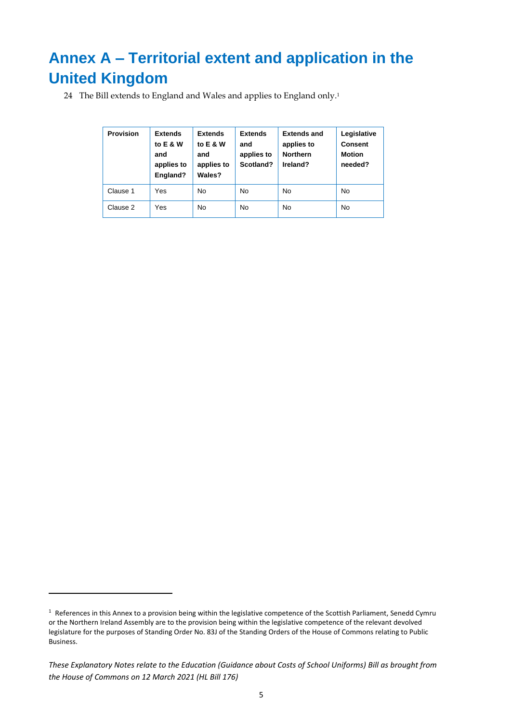# <span id="page-5-0"></span>**Annex A – Territorial extent and application in the United Kingdom**

24 The Bill extends to England and Wales and applies to England only. 1

| <b>Provision</b> | <b>Extends</b><br>to E & W<br>and<br>applies to<br>England? | <b>Extends</b><br>to E & W<br>and<br>applies to<br>Wales? | <b>Extends</b><br>and<br>applies to<br>Scotland? | <b>Extends and</b><br>applies to<br><b>Northern</b><br>Ireland? | Legislative<br><b>Consent</b><br><b>Motion</b><br>needed? |
|------------------|-------------------------------------------------------------|-----------------------------------------------------------|--------------------------------------------------|-----------------------------------------------------------------|-----------------------------------------------------------|
| Clause 1         | Yes                                                         | <b>No</b>                                                 | <b>No</b>                                        | <b>No</b>                                                       | No                                                        |
| Clause 2         | Yes                                                         | <b>No</b>                                                 | <b>No</b>                                        | <b>No</b>                                                       | <b>No</b>                                                 |

<sup>&</sup>lt;sup>1</sup> References in this Annex to a provision being within the legislative competence of the Scottish Parliament, Senedd Cymru or the Northern Ireland Assembly are to the provision being within the legislative competence of the relevant devolved legislature for the purposes of Standing Order No. 83J of the Standing Orders of the House of Commons relating to Public Business.

*These Explanatory Notes relate to the Education (Guidance about Costs of School Uniforms) Bill as brought from the House of Commons on 12 March 2021 (HL Bill 176)*